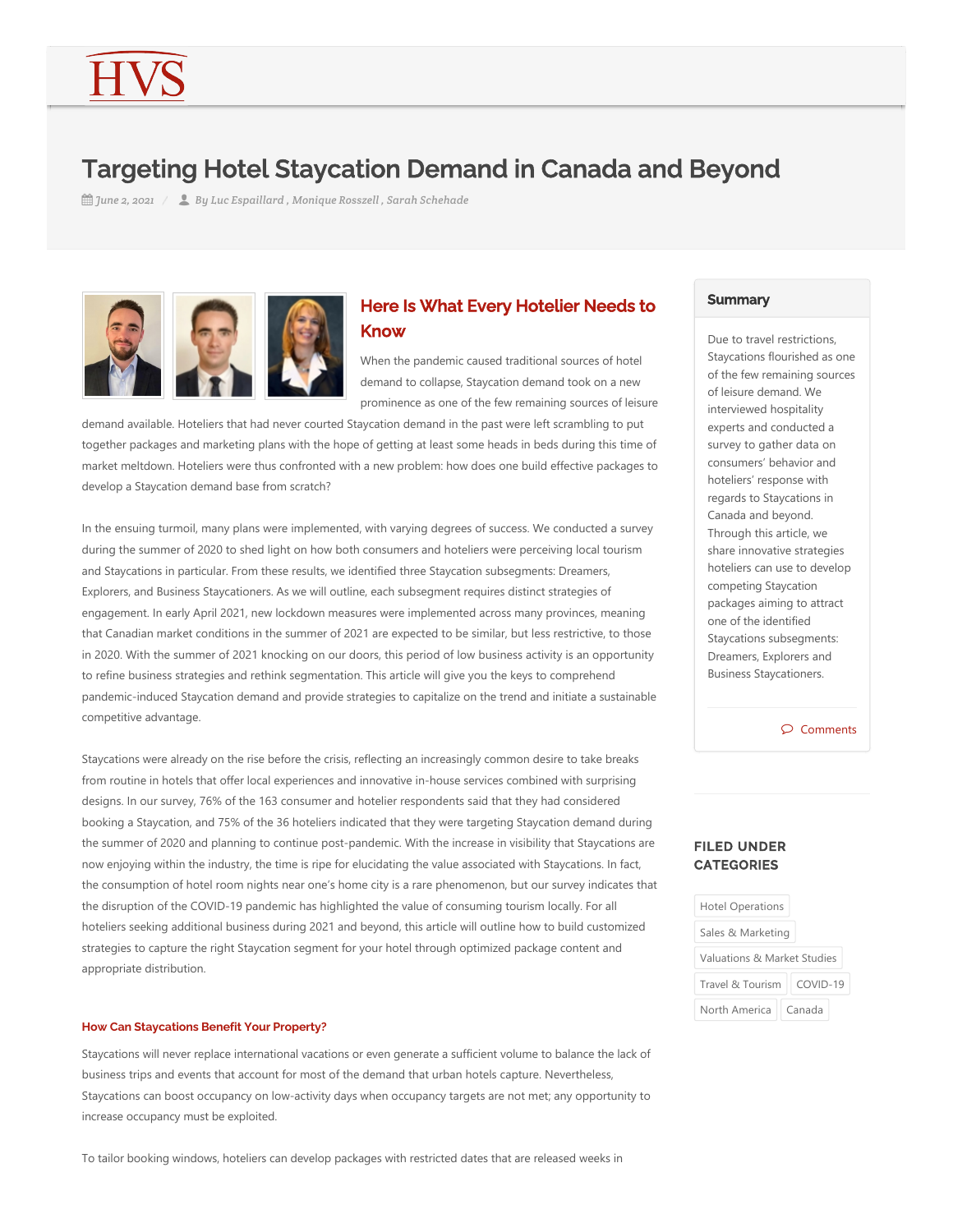# Targeting Hotel Staycation Demand in Canada and Beyond

*June 2, 2021 By Luc Espaillard , Monique Rosszell , Sarah Schehade*  $\frac{1}{2}$  June 2, 2021 /





When the pandemic caused traditional sources of hotel demand to collapse, Staycation demand took on a new prominence as one of the few remaining sources of leisure

demand available. Hoteliers that had never courted Staycation demand in the past were left scrambling to put together packages and marketing plans with the hope of getting at least some heads in beds during this time of market meltdown. Hoteliers were thus confronted with a new problem: how does one build effective packages to develop a Staycation demand base from scratch?

In the ensuing turmoil, many plans were implemented, with varying degrees of success. We conducted a survey during the summer of 2020 to shed light on how both consumers and hoteliers were perceiving local tourism and Staycations in particular. From these results, we identified three Staycation subsegments: Dreamers, Explorers, and Business Staycationers. As we will outline, each subsegment requires distinct strategies of engagement. In early April 2021, new lockdown measures were implemented across many provinces, meaning that Canadian market conditions in the summer of 2021 are expected to be similar, but less restrictive, to those in 2020. With the summer of 2021 knocking on our doors, this period of low business activity is an opportunity to refine business strategies and rethink segmentation. This article will give you the keys to comprehend pandemic‐induced Staycation demand and provide strategies to capitalize on the trend and initiate a sustainable competitive advantage.

Staycations were already on the rise before the crisis, reflecting an increasingly common desire to take breaks from routine in hotels that offer local experiences and innovative in‐house services combined with surprising designs. In our survey, 76% of the 163 consumer and hotelier respondents said that they had considered booking a Staycation, and 75% of the 36 hoteliers indicated that they were targeting Staycation demand during the summer of 2020 and planning to continue post-pandemic. With the increase in visibility that Staycations are now enjoying within the industry, the time is ripe for elucidating the value associated with Staycations. In fact, the consumption of hotel room nights near one's home city is a rare phenomenon, but our survey indicates that the disruption of the COVID‐19 pandemic has highlighted the value of consuming tourism locally. For all hoteliers seeking additional business during 2021 and beyond, this article will outline how to build customized strategies to capture the right Staycation segment for your hotel through optimized package content and appropriate distribution.

## **How Can Staycations Benefit Your Property?**

Staycations will never replace international vacations or even generate a sufficient volume to balance the lack of business trips and events that account for most of the demand that urban hotels capture. Nevertheless, Staycations can boost occupancy on low‐activity days when occupancy targets are not met; any opportunity to increase occupancy must be exploited.

To tailor booking windows, hoteliers can develop packages with restricted dates that are released weeks in

# **Summary**

Due to travel restrictions, Staycations flourished as one of the few remaining sources of leisure demand. We interviewed hospitality experts and conducted a survey to gather data on consumers' behavior and hoteliers' response with regards to Staycations in Canada and beyond. Through this article, we share innovative strategies hoteliers can use to develop competing Staycation packages aiming to attract one of the identified Staycations subsegments: Dreamers, Explorers and Business Staycationers.

 $O$  Comments

# FILED UNDER **CATEGORIES**

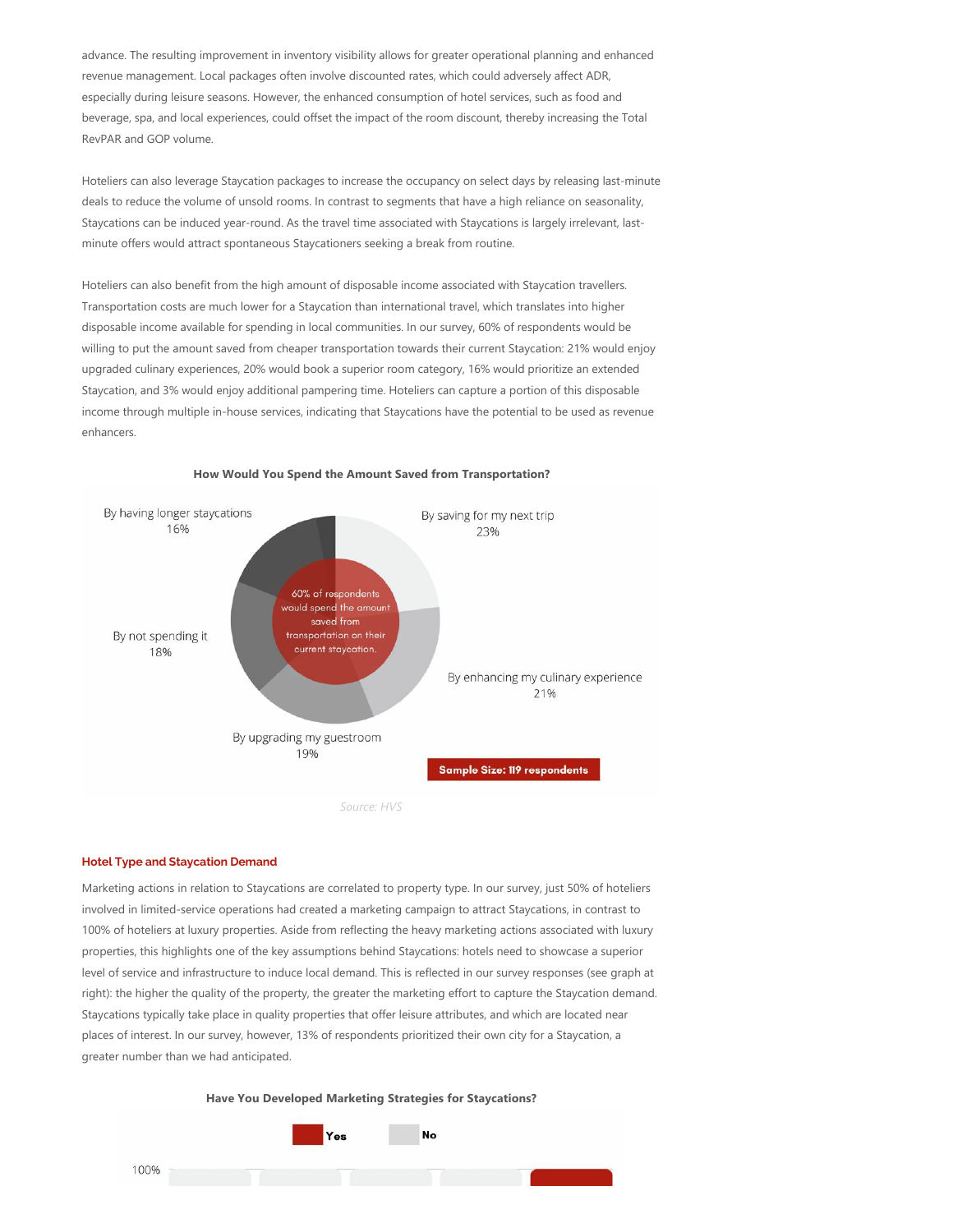advance. The resulting improvement in inventory visibility allows for greater operational planning and enhanced revenue management. Local packages often involve discounted rates, which could adversely affect ADR, especially during leisure seasons. However, the enhanced consumption of hotel services, such as food and beverage, spa, and local experiences, could offset the impact of the room discount, thereby increasing the Total RevPAR and GOP volume.

Hoteliers can also leverage Staycation packages to increase the occupancy on select days by releasing last-minute deals to reduce the volume of unsold rooms. In contrast to segments that have a high reliance on seasonality, Staycations can be induced year-round. As the travel time associated with Staycations is largely irrelevant, lastminute offers would attract spontaneous Staycationers seeking a break from routine.

Hoteliers can also benefit from the high amount of disposable income associated with Staycation travellers. Transportation costs are much lower for a Staycation than international travel, which translates into higher disposable income available for spending in local communities. In our survey, 60% of respondents would be willing to put the amount saved from cheaper transportation towards their current Staycation: 21% would enjoy upgraded culinary experiences, 20% would book a superior room category, 16% would prioritize an extended Staycation, and 3% would enjoy additional pampering time. Hoteliers can capture a portion of this disposable income through multiple in‐house services, indicating that Staycations have the potential to be used as revenue enhancers.



#### **How Would You Spend the Amount Saved from Transportation?**

## **Hotel Type and Staycation Demand**

Marketing actions in relation to Staycations are correlated to property type. In our survey, just 50% of hoteliers involved in limited‐service operations had created a marketing campaign to attract Staycations, in contrast to 100% of hoteliers at luxury properties. Aside from reflecting the heavy marketing actions associated with luxury properties, this highlights one of the key assumptions behind Staycations: hotels need to showcase a superior level of service and infrastructure to induce local demand. This is reflected in our survey responses (see graph at right): the higher the quality of the property, the greater the marketing effort to capture the Staycation demand. Staycations typically take place in quality properties that offer leisure attributes, and which are located near places of interest. In our survey, however, 13% of respondents prioritized their own city for a Staycation, a greater number than we had anticipated.

**Have You Developed Marketing Strategies for Staycations?**

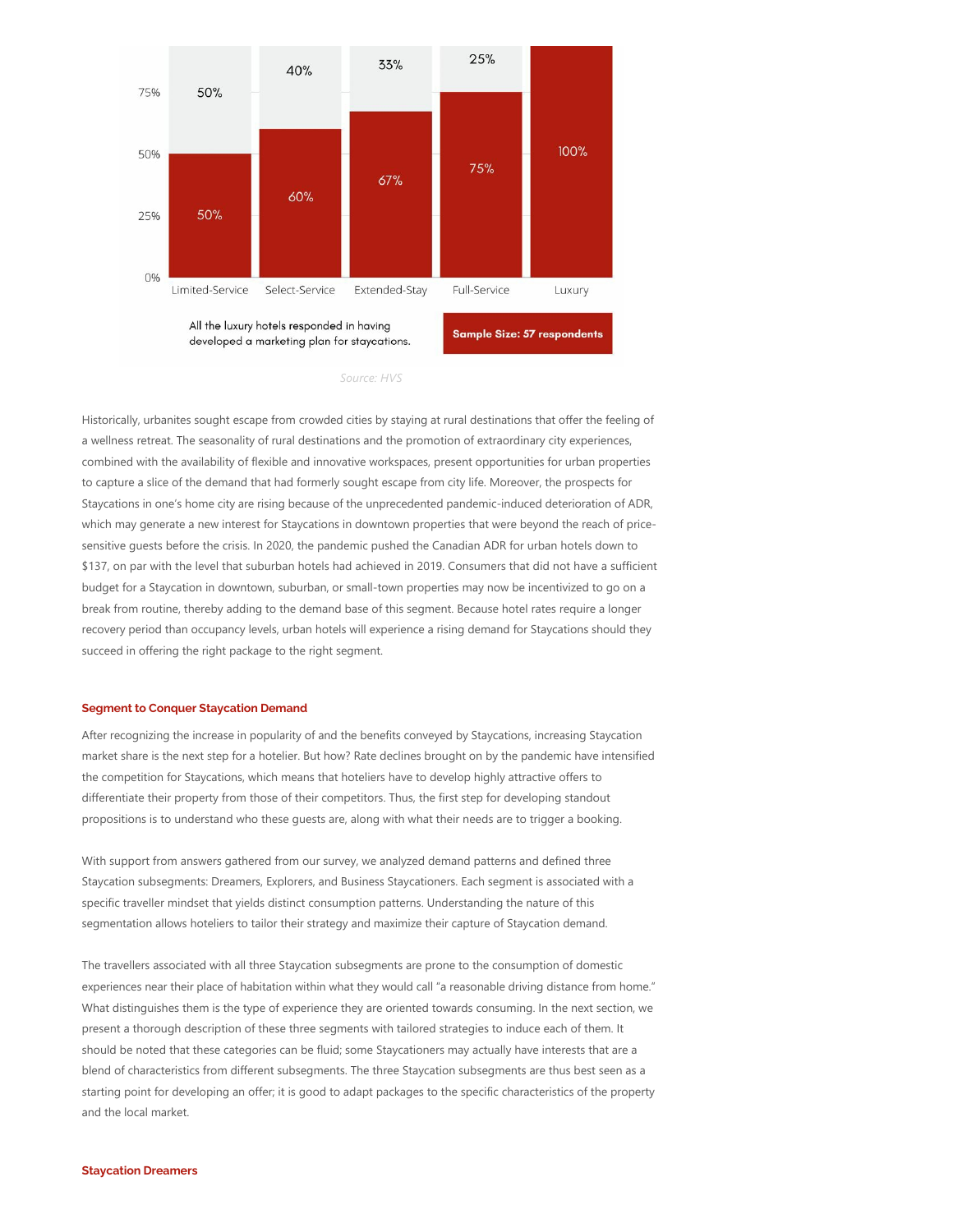

*Source: HVS*

Historically, urbanites sought escape from crowded cities by staying at rural destinations that offer the feeling of a wellness retreat. The seasonality of rural destinations and the promotion of extraordinary city experiences, combined with the availability of flexible and innovative workspaces, present opportunities for urban properties to capture a slice of the demand that had formerly sought escape from city life. Moreover, the prospects for Staycations in one's home city are rising because of the unprecedented pandemic‐induced deterioration of ADR, which may generate a new interest for Staycations in downtown properties that were beyond the reach of pricesensitive guests before the crisis. In 2020, the pandemic pushed the Canadian ADR for urban hotels down to \$137, on par with the level that suburban hotels had achieved in 2019. Consumers that did not have a sufficient budget for a Staycation in downtown, suburban, or small‐town properties may now be incentivized to go on a break from routine, thereby adding to the demand base of this segment. Because hotel rates require a longer recovery period than occupancy levels, urban hotels will experience a rising demand for Staycations should they succeed in offering the right package to the right segment.

## **Segment to Conquer Staycation Demand**

After recognizing the increase in popularity of and the benefits conveyed by Staycations, increasing Staycation market share is the next step for a hotelier. But how? Rate declines brought on by the pandemic have intensified the competition for Staycations, which means that hoteliers have to develop highly attractive offers to differentiate their property from those of their competitors. Thus, the first step for developing standout propositions is to understand who these guests are, along with what their needs are to trigger a booking.

With support from answers gathered from our survey, we analyzed demand patterns and defined three Staycation subsegments: Dreamers, Explorers, and Business Staycationers. Each segment is associated with a specific traveller mindset that yields distinct consumption patterns. Understanding the nature of this segmentation allows hoteliers to tailor their strategy and maximize their capture of Staycation demand.

The travellers associated with all three Staycation subsegments are prone to the consumption of domestic experiences near their place of habitation within what they would call "a reasonable driving distance from home." What distinguishes them is the type of experience they are oriented towards consuming. In the next section, we present a thorough description of these three segments with tailored strategies to induce each of them. It should be noted that these categories can be fluid; some Staycationers may actually have interests that are a blend of characteristics from different subsegments. The three Staycation subsegments are thus best seen as a starting point for developing an offer; it is good to adapt packages to the specific characteristics of the property and the local market.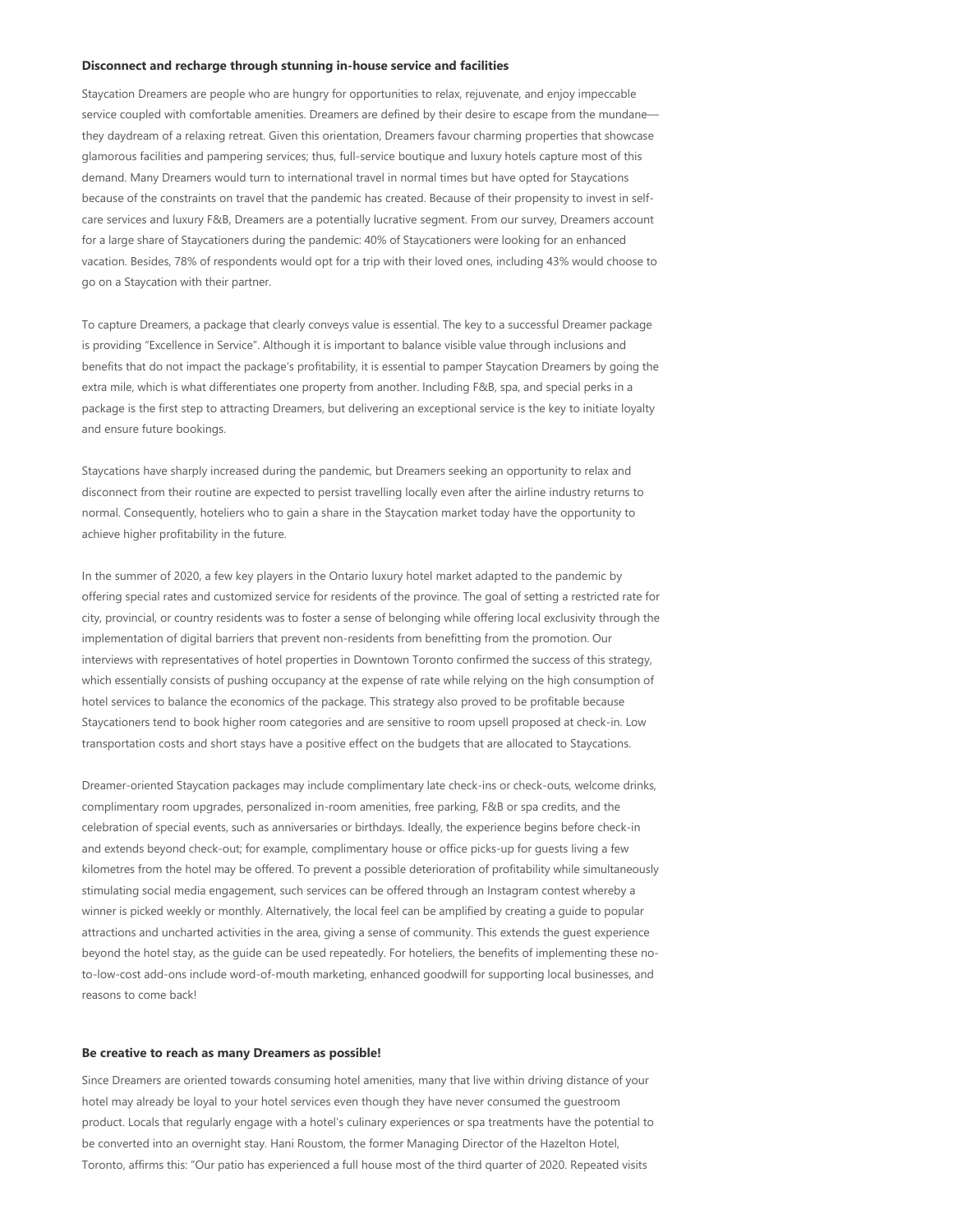#### **Disconnect and recharge through stunning in‐house service and facilities**

Staycation Dreamers are people who are hungry for opportunities to relax, rejuvenate, and enjoy impeccable service coupled with comfortable amenities. Dreamers are defined by their desire to escape from the mundanethey daydream of a relaxing retreat. Given this orientation, Dreamers favour charming properties that showcase glamorous facilities and pampering services; thus, full‐service boutique and luxury hotels capture most of this demand. Many Dreamers would turn to international travel in normal times but have opted for Staycations because of the constraints on travel that the pandemic has created. Because of their propensity to invest in selfcare services and luxury F&B, Dreamers are a potentially lucrative segment. From our survey, Dreamers account for a large share of Staycationers during the pandemic: 40% of Staycationers were looking for an enhanced vacation. Besides, 78% of respondents would opt for a trip with their loved ones, including 43% would choose to go on a Staycation with their partner.

To capture Dreamers, a package that clearly conveys value is essential. The key to a successful Dreamer package is providing "Excellence in Service". Although it is important to balance visible value through inclusions and benefits that do not impact the package's profitability, it is essential to pamper Staycation Dreamers by going the extra mile, which is what differentiates one property from another. Including F&B, spa, and special perks in a package is the first step to attracting Dreamers, but delivering an exceptional service is the key to initiate loyalty and ensure future bookings.

Staycations have sharply increased during the pandemic, but Dreamers seeking an opportunity to relax and disconnect from their routine are expected to persist travelling locally even after the airline industry returns to normal. Consequently, hoteliers who to gain a share in the Staycation market today have the opportunity to achieve higher profitability in the future.

In the summer of 2020, a few key players in the Ontario luxury hotel market adapted to the pandemic by offering special rates and customized service for residents of the province. The goal of setting a restricted rate for city, provincial, or country residents was to foster a sense of belonging while offering local exclusivity through the implementation of digital barriers that prevent non-residents from benefitting from the promotion. Our interviews with representatives of hotel properties in Downtown Toronto confirmed the success of this strategy, which essentially consists of pushing occupancy at the expense of rate while relying on the high consumption of hotel services to balance the economics of the package. This strategy also proved to be profitable because Staycationers tend to book higher room categories and are sensitive to room upsell proposed at check‐in. Low transportation costs and short stays have a positive effect on the budgets that are allocated to Staycations.

Dreamer-oriented Staycation packages may include complimentary late check-ins or check-outs, welcome drinks, complimentary room upgrades, personalized in-room amenities, free parking, F&B or spa credits, and the celebration of special events, such as anniversaries or birthdays. Ideally, the experience begins before check‐in and extends beyond check‐out; for example, complimentary house or office picks‐up for guests living a few kilometres from the hotel may be offered. To prevent a possible deterioration of profitability while simultaneously stimulating social media engagement, such services can be offered through an Instagram contest whereby a winner is picked weekly or monthly. Alternatively, the local feel can be amplified by creating a guide to popular attractions and uncharted activities in the area, giving a sense of community. This extends the guest experience beyond the hotel stay, as the guide can be used repeatedly. For hoteliers, the benefits of implementing these no‐ to-low-cost add-ons include word-of-mouth marketing, enhanced goodwill for supporting local businesses, and reasons to come back!

#### **Be creative to reach as many Dreamers as possible!**

Since Dreamers are oriented towards consuming hotel amenities, many that live within driving distance of your hotel may already be loyal to your hotel services even though they have never consumed the guestroom product. Locals that regularly engage with a hotel's culinary experiences or spa treatments have the potential to be converted into an overnight stay. Hani Roustom, the former Managing Director of the Hazelton Hotel, Toronto, affirms this: "Our patio has experienced a full house most of the third quarter of 2020. Repeated visits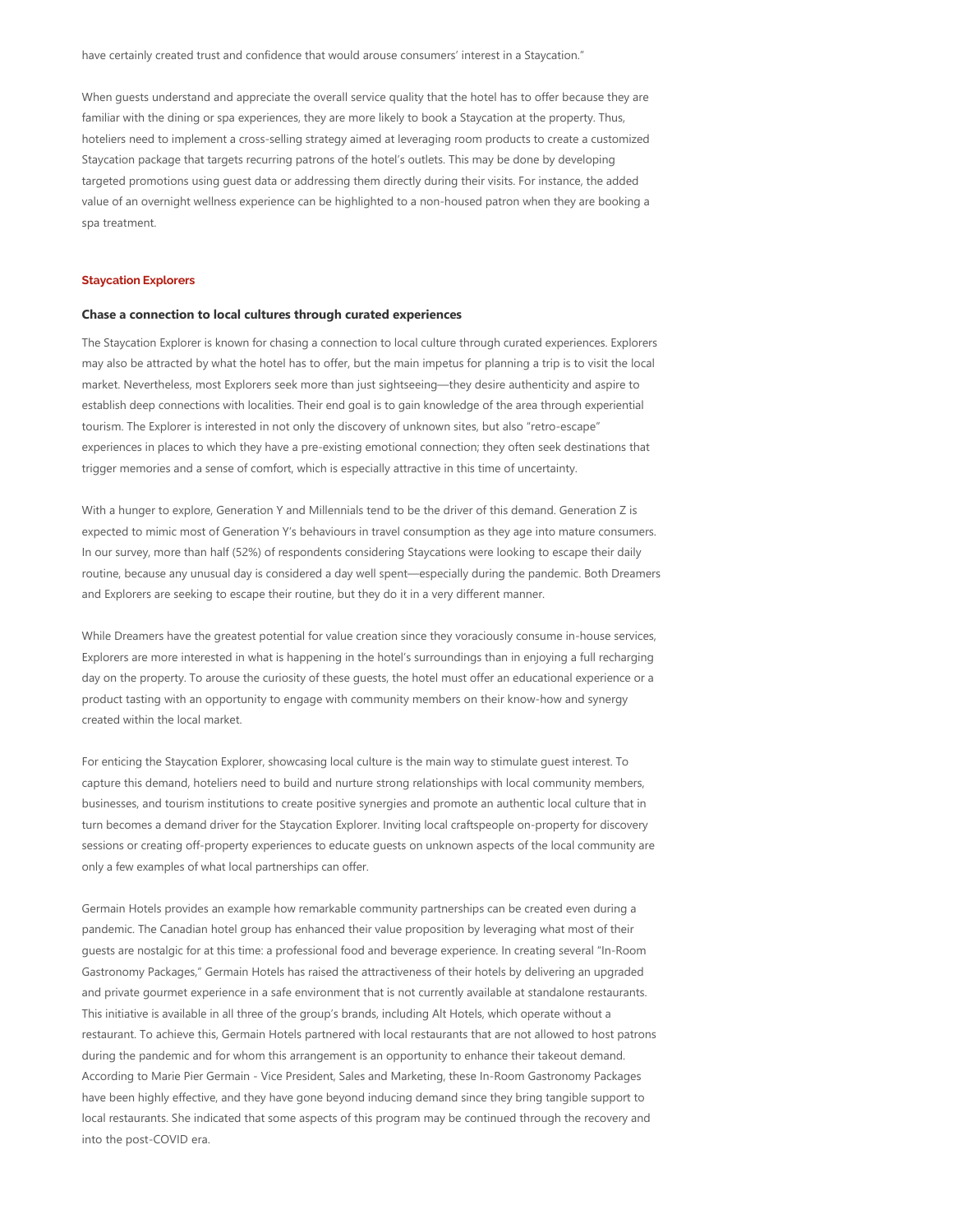When guests understand and appreciate the overall service quality that the hotel has to offer because they are familiar with the dining or spa experiences, they are more likely to book a Staycation at the property. Thus, hoteliers need to implement a cross-selling strategy aimed at leveraging room products to create a customized Staycation package that targets recurring patrons of the hotel's outlets. This may be done by developing targeted promotions using guest data or addressing them directly during their visits. For instance, the added value of an overnight wellness experience can be highlighted to a non-housed patron when they are booking a spa treatment.

#### **Staycation Explorers**

#### **Chase a connection to local cultures through curated experiences**

The Staycation Explorer is known for chasing a connection to local culture through curated experiences. Explorers may also be attracted by what the hotel has to offer, but the main impetus for planning a trip is to visit the local market. Nevertheless, most Explorers seek more than just sightseeing—they desire authenticity and aspire to establish deep connections with localities. Their end goal is to gain knowledge of the area through experiential tourism. The Explorer is interested in not only the discovery of unknown sites, but also "retro-escape" experiences in places to which they have a pre-existing emotional connection; they often seek destinations that trigger memories and a sense of comfort, which is especially attractive in this time of uncertainty.

With a hunger to explore, Generation Y and Millennials tend to be the driver of this demand. Generation Z is expected to mimic most of Generation Y's behaviours in travel consumption as they age into mature consumers. In our survey, more than half (52%) of respondents considering Staycations were looking to escape their daily routine, because any unusual day is considered a day well spent—especially during the pandemic. Both Dreamers and Explorers are seeking to escape their routine, but they do it in a very different manner.

While Dreamers have the greatest potential for value creation since they voraciously consume in-house services, Explorers are more interested in what is happening in the hotel's surroundings than in enjoying a full recharging day on the property. To arouse the curiosity of these guests, the hotel must offer an educational experience or a product tasting with an opportunity to engage with community members on their know‐how and synergy created within the local market.

For enticing the Staycation Explorer, showcasing local culture is the main way to stimulate guest interest. To capture this demand, hoteliers need to build and nurture strong relationships with local community members, businesses, and tourism institutions to create positive synergies and promote an authentic local culture that in turn becomes a demand driver for the Staycation Explorer. Inviting local craftspeople on‐property for discovery sessions or creating off-property experiences to educate quests on unknown aspects of the local community are only a few examples of what local partnerships can offer.

Germain Hotels provides an example how remarkable community partnerships can be created even during a pandemic. The Canadian hotel group has enhanced their value proposition by leveraging what most of their guests are nostalgic for at this time: a professional food and beverage experience. In creating several "In‐Room Gastronomy Packages," Germain Hotels has raised the attractiveness of their hotels by delivering an upgraded and private gourmet experience in a safe environment that is not currently available at standalone restaurants. This initiative is available in all three of the group's brands, including Alt Hotels, which operate without a restaurant. To achieve this, Germain Hotels partnered with local restaurants that are not allowed to host patrons during the pandemic and for whom this arrangement is an opportunity to enhance their takeout demand. According to Marie Pier Germain ‐ Vice President, Sales and Marketing, these In‐Room Gastronomy Packages have been highly effective, and they have gone beyond inducing demand since they bring tangible support to local restaurants. She indicated that some aspects of this program may be continued through the recovery and into the post‐COVID era.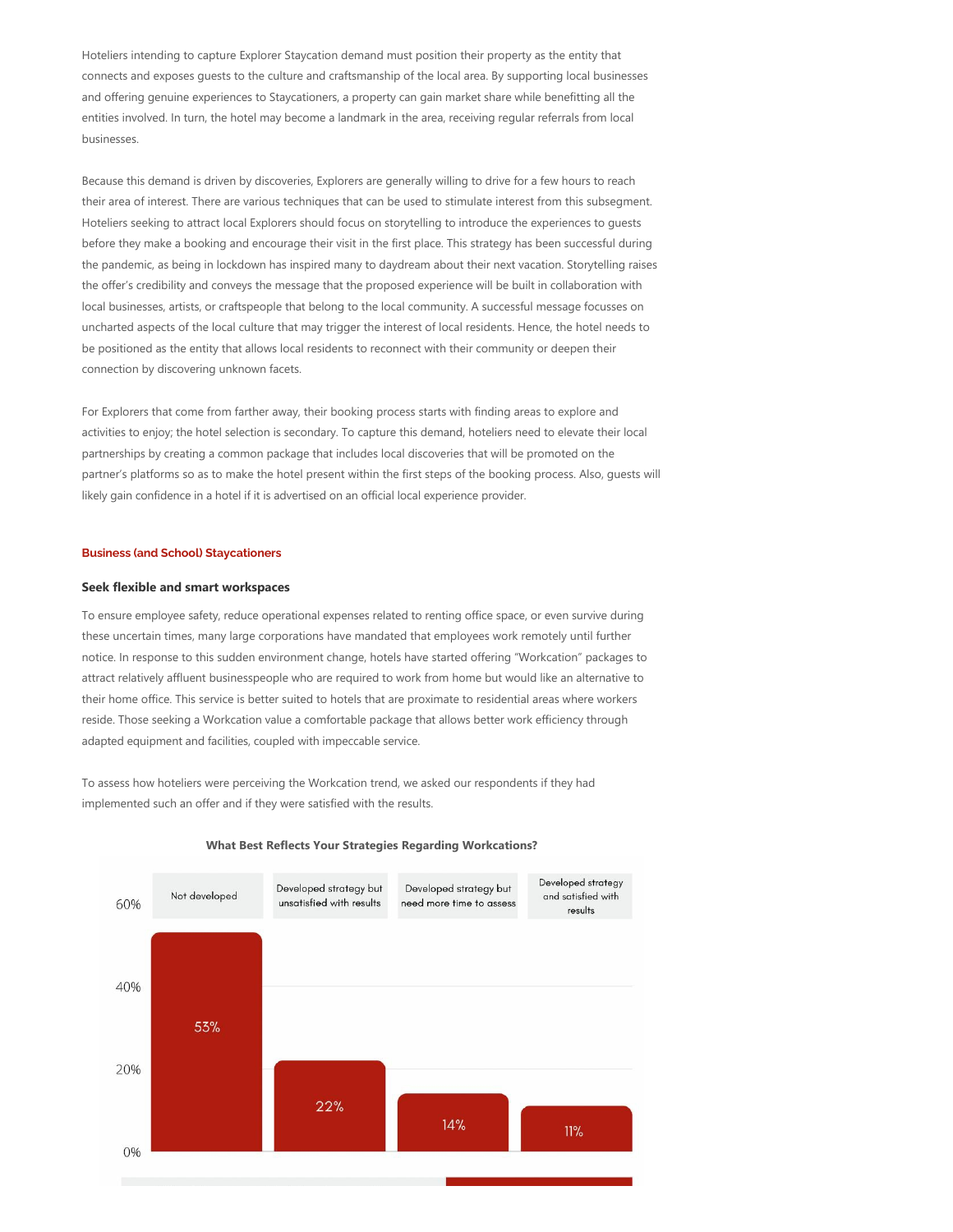Hoteliers intending to capture Explorer Staycation demand must position their property as the entity that connects and exposes guests to the culture and craftsmanship of the local area. By supporting local businesses and offering genuine experiences to Staycationers, a property can gain market share while benefitting all the entities involved. In turn, the hotel may become a landmark in the area, receiving regular referrals from local businesses.

Because this demand is driven by discoveries, Explorers are generally willing to drive for a few hours to reach their area of interest. There are various techniques that can be used to stimulate interest from this subsegment. Hoteliers seeking to attract local Explorers should focus on storytelling to introduce the experiences to guests before they make a booking and encourage their visit in the first place. This strategy has been successful during the pandemic, as being in lockdown has inspired many to daydream about their next vacation. Storytelling raises the offer's credibility and conveys the message that the proposed experience will be built in collaboration with local businesses, artists, or craftspeople that belong to the local community. A successful message focusses on uncharted aspects of the local culture that may trigger the interest of local residents. Hence, the hotel needs to be positioned as the entity that allows local residents to reconnect with their community or deepen their connection by discovering unknown facets.

For Explorers that come from farther away, their booking process starts with finding areas to explore and activities to enjoy; the hotel selection is secondary. To capture this demand, hoteliers need to elevate their local partnerships by creating a common package that includes local discoveries that will be promoted on the partner's platforms so as to make the hotel present within the first steps of the booking process. Also, guests will likely gain confidence in a hotel if it is advertised on an official local experience provider.

## **Business (and School) Staycationers**

#### **Seek flexible and smart workspaces**

To ensure employee safety, reduce operational expenses related to renting office space, or even survive during these uncertain times, many large corporations have mandated that employees work remotely until further notice. In response to this sudden environment change, hotels have started offering "Workcation" packages to attract relatively affluent businesspeople who are required to work from home but would like an alternative to their home office. This service is better suited to hotels that are proximate to residential areas where workers reside. Those seeking a Workcation value a comfortable package that allows better work efficiency through adapted equipment and facilities, coupled with impeccable service.

To assess how hoteliers were perceiving the Workcation trend, we asked our respondents if they had implemented such an offer and if they were satisfied with the results.



#### **What Best Reflects Your Strategies Regarding Workcations?**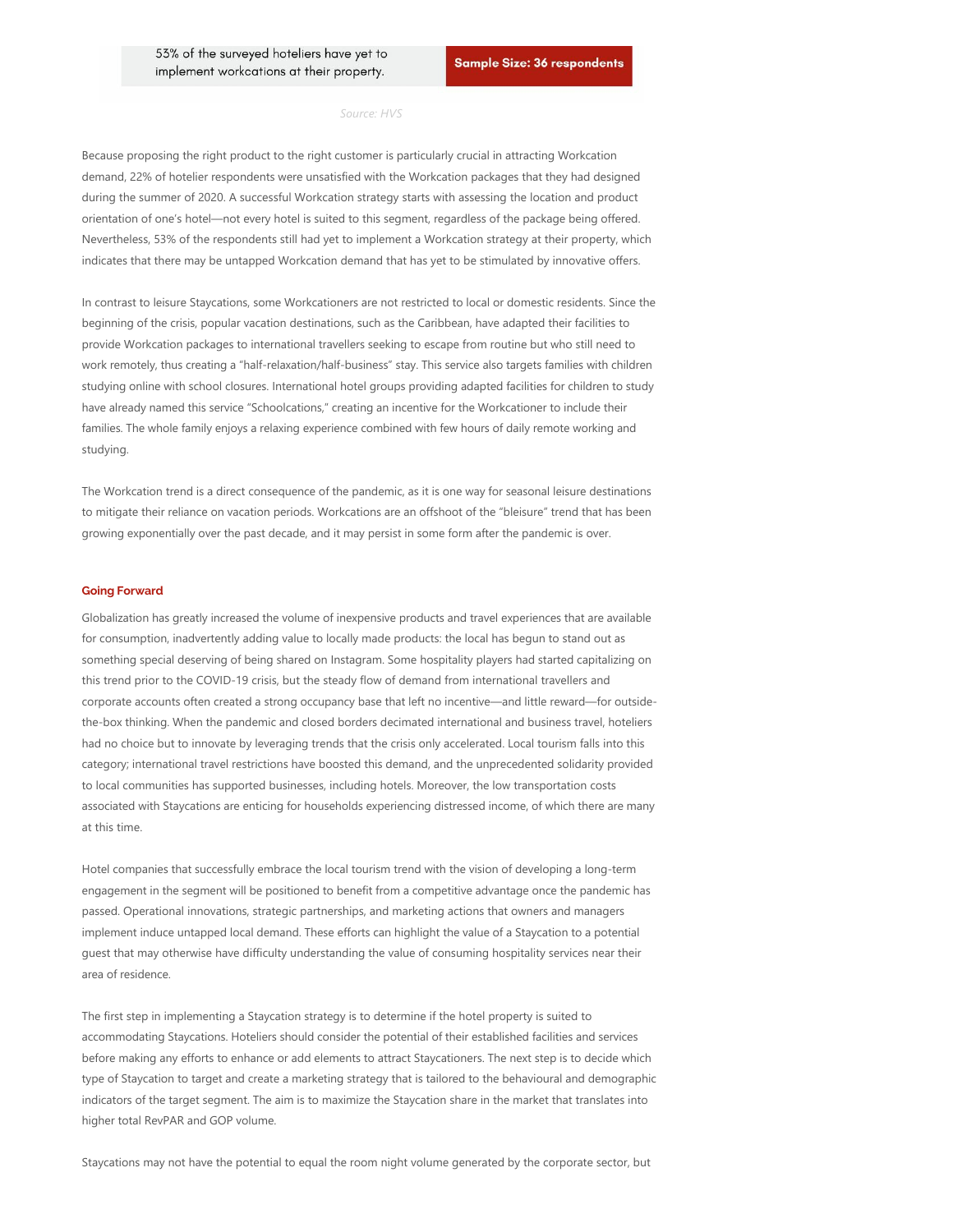#### *Source: HVS*

Because proposing the right product to the right customer is particularly crucial in attracting Workcation demand, 22% of hotelier respondents were unsatisfied with the Workcation packages that they had designed during the summer of 2020. A successful Workcation strategy starts with assessing the location and product orientation of one's hotel—not every hotel is suited to this segment, regardless of the package being offered. Nevertheless, 53% of the respondents still had yet to implement a Workcation strategy at their property, which indicates that there may be untapped Workcation demand that has yet to be stimulated by innovative offers.

In contrast to leisure Staycations, some Workcationers are not restricted to local or domestic residents. Since the beginning of the crisis, popular vacation destinations, such as the Caribbean, have adapted their facilities to provide Workcation packages to international travellers seeking to escape from routine but who still need to work remotely, thus creating a "half-relaxation/half-business" stay. This service also targets families with children studying online with school closures. International hotel groups providing adapted facilities for children to study have already named this service "Schoolcations," creating an incentive for the Workcationer to include their families. The whole family enjoys a relaxing experience combined with few hours of daily remote working and studying.

The Workcation trend is a direct consequence of the pandemic, as it is one way for seasonal leisure destinations to mitigate their reliance on vacation periods. Workcations are an offshoot of the "bleisure" trend that has been growing exponentially over the past decade, and it may persist in some form after the pandemic is over.

#### **Going Forward**

Globalization has greatly increased the volume of inexpensive products and travel experiences that are available for consumption, inadvertently adding value to locally made products: the local has begun to stand out as something special deserving of being shared on Instagram. Some hospitality players had started capitalizing on this trend prior to the COVID-19 crisis, but the steady flow of demand from international travellers and corporate accounts often created a strong occupancy base that left no incentive—and little reward—for outside‐ the-box thinking. When the pandemic and closed borders decimated international and business travel, hoteliers had no choice but to innovate by leveraging trends that the crisis only accelerated. Local tourism falls into this category; international travel restrictions have boosted this demand, and the unprecedented solidarity provided to local communities has supported businesses, including hotels. Moreover, the low transportation costs associated with Staycations are enticing for households experiencing distressed income, of which there are many at this time.

Hotel companies that successfully embrace the local tourism trend with the vision of developing a long-term engagement in the segment will be positioned to benefit from a competitive advantage once the pandemic has passed. Operational innovations, strategic partnerships, and marketing actions that owners and managers implement induce untapped local demand. These efforts can highlight the value of a Staycation to a potential guest that may otherwise have difficulty understanding the value of consuming hospitality services near their area of residence.

The first step in implementing a Staycation strategy is to determine if the hotel property is suited to accommodating Staycations. Hoteliers should consider the potential of their established facilities and services before making any efforts to enhance or add elements to attract Staycationers. The next step is to decide which type of Staycation to target and create a marketing strategy that is tailored to the behavioural and demographic indicators of the target segment. The aim is to maximize the Staycation share in the market that translates into higher total RevPAR and GOP volume.

Staycations may not have the potential to equal the room night volume generated by the corporate sector, but